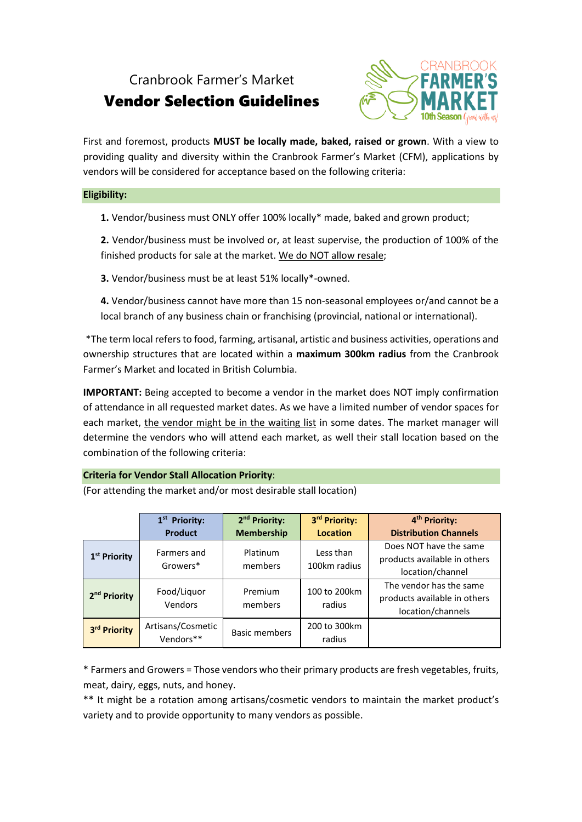## Cranbrook Farmer's Market

# Vendor Selection Guidelines



First and foremost, products **MUST be locally made, baked, raised or grown**. With a view to providing quality and diversity within the Cranbrook Farmer's Market (CFM), applications by vendors will be considered for acceptance based on the following criteria:

#### **Eligibility:**

**1.** Vendor/business must ONLY offer 100% locally\* made, baked and grown product;

**2.** Vendor/business must be involved or, at least supervise, the production of 100% of the finished products for sale at the market. We do NOT allow resale;

**3.** Vendor/business must be at least 51% locally\*-owned.

**4.** Vendor/business cannot have more than 15 non-seasonal employees or/and cannot be a local branch of any business chain or franchising (provincial, national or international).

\*The term local refersto food, farming, artisanal, artistic and business activities, operations and ownership structures that are located within a **maximum 300km radius** from the Cranbrook Farmer's Market and located in British Columbia.

**IMPORTANT:** Being accepted to become a vendor in the market does NOT imply confirmation of attendance in all requested market dates. As we have a limited number of vendor spaces for each market, the vendor might be in the waiting list in some dates. The market manager will determine the vendors who will attend each market, as well their stall location based on the combination of the following criteria:

### **Criteria for Vendor Stall Allocation Priority**:

(For attending the market and/or most desirable stall location)

|                          | 1 <sup>st</sup> Priority:      | 2 <sup>nd</sup> Priority: | 3rd Priority:             | 4 <sup>th</sup> Priority:    |
|--------------------------|--------------------------------|---------------------------|---------------------------|------------------------------|
|                          | <b>Product</b>                 | <b>Membership</b>         | <b>Location</b>           | <b>Distribution Channels</b> |
| 1 <sup>st</sup> Priority | Farmers and<br>Growers*        | Platinum<br>members       | Less than<br>100km radius | Does NOT have the same       |
|                          |                                |                           |                           | products available in others |
|                          |                                |                           |                           | location/channel             |
| 2 <sup>nd</sup> Priority | Food/Liquor                    | Premium                   | 100 to 200km              | The vendor has the same      |
|                          |                                |                           |                           | products available in others |
|                          | <b>Vendors</b>                 | members                   | radius                    | location/channels            |
| 3rd Priority             | Artisans/Cosmetic<br>Vendors** | Basic members             | 200 to 300km              |                              |
|                          |                                |                           | radius                    |                              |

\* Farmers and Growers = Those vendors who their primary products are fresh vegetables, fruits, meat, dairy, eggs, nuts, and honey.

\*\* It might be a rotation among artisans/cosmetic vendors to maintain the market product's variety and to provide opportunity to many vendors as possible.